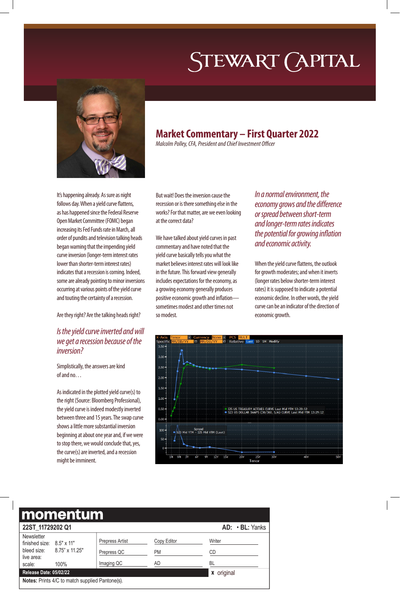# STEWART (APITAL



## **Market Commentary – First Quarter 2022**

*Malcolm Polley, CFA, President and Chief Investment Officer*

It's happening already. As sure as night follows day. When a yield curve flattens, as has happened since the Federal Reserve Open Market Committee (FOMC) began increasing its Fed Funds rate in March, all order of pundits and television talking heads began warning that the impending yield curve inversion (longer-term interest rates lower than shorter-term interest rates) indicates that a recession is coming. Indeed, some are already pointing to minor inversions occurring at various points of the yield curve and touting the certainty of a recession.

Are they right? Are the talking heads right?

## *Is the yield curve inverted and will we get a recession because of the inversion?*

Simplistically, the answers are kind of and no…

As indicated in the plotted yield curve(s) to the right (Source: Bloomberg Professional), the yield curve is indeed modestly inverted between three and 15 years. The swap curve shows a little more substantial inversion beginning at about one year and, if we were to stop there, we would conclude that, yes, the curve(s) are inverted, and a recession might be imminent.

But wait! Does the inversion cause the recession or is there something else in the works? For that matter, are we even looking at the correct data?

We have talked about yield curves in past commentary and have noted that the yield curve basically tells you what the market believes interest rates will look like in the future. This forward view generally includes expectations for the economy, as a growing economy generally produces positive economic growth and inflation sometimes modest and other times not so modest.

*In a normal environment, the economy grows and the difference or spread between short-term and longer-term rates indicates the potential for growing inflation and economic activity.* 

When the yield curve flattens, the outlook for growth moderates; and when it inverts (longer rates below shorter-term interest rates) it is supposed to indicate a potential economic decline. In other words, the yield curve can be an indicator of the direction of economic growth.

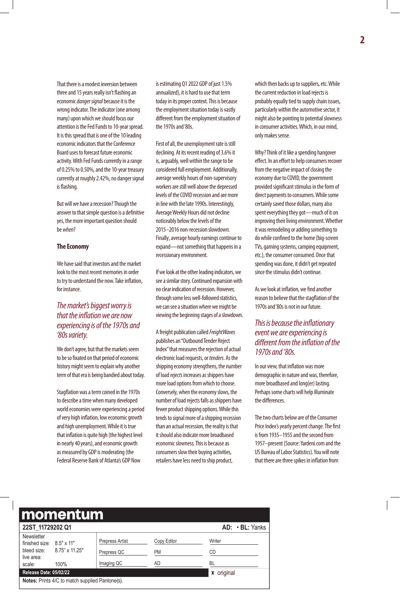That there is a modest inversion between three and 15 years really isn't flashing an economic *danger signal* because it is the wrong indicator. The indicator (one among many) upon which we should focus our attention is the Fed Funds to 10-year spread. It is this spread that is one of the 10 leading economic indicators that the Conference Board uses to forecast future economic activity. With Fed Funds currently in a range of 0.25% to 0.50%, and the 10-year treasury currently at roughly 2.42%, no danger signal is flashing.

But will we have a recession? Though the answer to that simple question is a definitive yes, the more important question should be *when*?

#### **The Economy**

We have said that investors and the market look to the most recent memories in order to try to understand the now. Take inflation, for instance.

## *The market's biggest worry is that the inflation we are now experiencing is of the 1970s and '80s variety.*

We don't agree, but that the markets seem to be so fixated on that period of economic history might seem to explain why another term of that era is being bandied about today.

Stagflation was a term coined in the 1970s to describe a time when many developed world economies were experiencing a period of very high inflation, low economic growth and high unemployment. While it is true that inflation is quite high (the highest level in nearly 40 years), and economic growth as measured by GDP is moderating (the Federal Reserve Bank of Atlanta's GDP Now

is estimating Q1 2022 GDP of just 1.5% annualized), it is hard to use that term today in its proper context. This is because the employment situation today is vastly different from the employment situation of the 1970s and'80s.

First of all, the unemployment rate is still declining. At its recent reading of 3.6% it is, arguably, well within the range to be considered full employment. Additionally, average weekly hours of non-supervisory workers are still well above the depressed levels of the COVID recession and are more in line with the late 1990s. Interestingly, Average Weekly Hours did not decline noticeably below the levels of the 2015–2016 non-recession slowdown. Finally, average hourly earnings continue to expand—not something that happens in a recessionary environment.

If we look at the other leading indicators, we see a similar story. Continued expansion with no clear indication of recession. However, through some less well-followed statistics, we can see a situation where we might be viewing the beginning stages of a slowdown.

A freight publication called *FreightWaves* publishes an"Outbound Tender Reject Index" that measures the rejection of actual electronic load requests, or *tenders*. As the shipping economy strengthens, the number of load *rejects*increases as shippers have more load options from which to choose. Conversely, when the economy slows, the number of load rejects falls as shippers have fewer product shipping options. While this tends to signal more of a shipping recession than an actual recession, the reality is that it should also indicate more broadbased economic slowness. This is because as consumers slow their buying activities, retailers have less need to ship product,

which then backs up to suppliers, etc. While the current reduction in load rejects is probably equally tied to supply chain issues, particularly within the automotive sector, it might also be pointing to potential slowness in consumer activities. Which, in our mind, only makes sense.

Why? Think of it like a spending hangover effect. In an effort to help consumers recover from the negative impact of closing the economy due to COVID, the government provided significant stimulus in the form of direct payments to consumers. While some certainly saved those dollars, many also spent everything they got—much of it on improving their living environment. Whether it was remodeling or adding something to do while confined to the home (big-screen TVs, gaming systems, camping equipment, etc.), the consumer consumed. Once that spending was done, it didn't get repeated since the stimulus didn't continue.

As we look at inflation, we find another reason to believe that the stagflation of the 1970s and '80s is not in our future.

### *This is because the inflationary event we are experiencing is different from the inflation of the 1970s and '80s.*

In our view, that inflation was more demographic in nature and was, therefore, more broadbased and long(er) lasting. Perhaps some charts will help illuminate the differences.

The two charts below are of the Consumer Price Index's yearly percent change. The first is from 1935–1955 and the second from 1957–present (Source: Yardeni.com and the US Bureau of Labor Statistics). You will note that there are three spikes in inflation from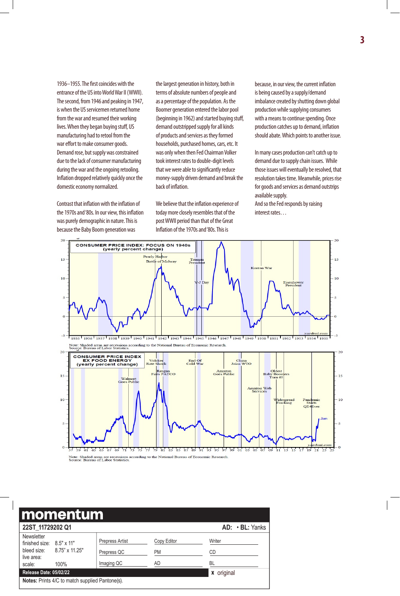1936–1955. The first coincides with the entrance of the US into World War II (WWII). The second, from 1946 and peaking in 1947, is when the US servicemen returned home from the war and resumed their working lives. When they began buying stuff, US manufacturing had to retool from the war effort to make consumer goods. Demand rose, but supply was constrained due to the lack of consumer manufacturing during the war and the ongoing retooling. Inflation dropped relatively quickly once the domestic economy normalized.

Contrast that inflation with the inflation of the 1970s and '80s. In our view, this inflation was purely demographic in nature. This is because the Baby Boom generation was

the largest generation in history, both in terms of absolute numbers of people and as a percentage of the population. As the Boomer generation entered the labor pool (beginning in 1962) and started buying stuff, demand outstripped supply for all kinds of products and services as they formed households, purchased homes, cars, etc. It was only when then Fed Chairman Volker took interest rates to double-digit levels that we were able to significantly reduce money-supply driven demand and break the back of inflation.

We believe that the inflation experience of today more closely resembles that of the post WWII period than that of the Great Inflation of the 1970s and '80s. This is

because, in our view, the current inflation is being caused by a supply/demand imbalance created by shutting down global production while supplying consumers with a means to continue spending. Once production catches up to demand, inflation should abate. Which points to another issue.

In many cases production can't catch up to demand due to supply chain issues. While those issues will eventually be resolved, that resolution takes time. Meanwhile, prices rise for goods and services as demand outstrips available supply.

And so the Fed responds by raising interest rates…

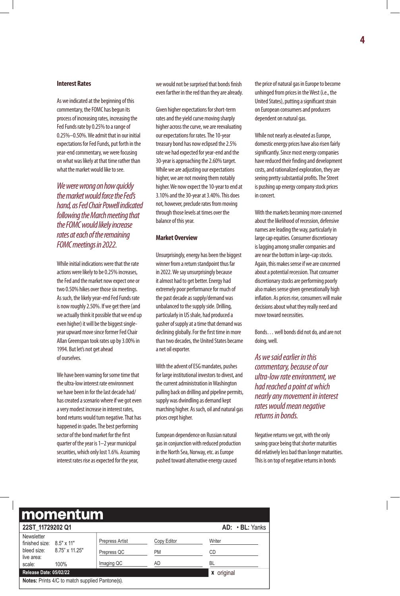#### **Interest Rates**

As we indicated at the beginning of this commentary, the FOMC has begun its process of increasing rates, increasing the Fed Funds rate by 0.25% to a range of 0.25%–0.50%. We admit that in our initial expectations for Fed Funds, put forth in the year-end commentary, we were focusing on what was likely at that time rather than what the market would like to see.

*We were wrong on how quickly the market would force the Fed's hand, as Fed Chair Powell indicated following the March meeting that the FOMC would likely increase rates at each of the remaining FOMC meetings in 2022.* 

While initial indications were that the rate actions were likely to be 0.25% increases, the Fed and the market now expect one or two 0.50% hikes over those six meetings. As such, the likely year-end Fed Funds rate is now roughly 2.50%. If we get there (and we actually think it possible that we end up even higher) it will be the biggest singleyear upward move since former Fed Chair Allan Greenspan took rates up by 3.00% in 1994. But let's not get ahead of ourselves.

We have been warning for some time that the ultra-low interest rate environment we have been in for the last decade had/ has created a scenario where if we got even a very modest increase in interest rates, bond returns would turn negative. That has happened in spades. The best performing sector of the bond market for the first quarter of the year is 1–2 year municipal securities, which only lost 1.6%. Assuming interest rates rise as expected for the year,

we would not be surprised that bonds finish even farther in the red than they are already.

Given higher expectations for short-term rates and the yield curve moving sharply higher across the curve, we are reevaluating our expectations for rates. The 10-year treasury bond has now eclipsed the 2.5% rate we had expected for year-end and the 30-year is approaching the 2.60% target. While we are adjusting our expectations higher, we are not moving them notably higher. We now expect the 10-year to end at 3.10% and the 30-year at 3.40%. This does not, however, preclude rates from moving through those levels at times over the balance of this year.

#### **Market Overview**

Unsurprisingly, energy has been the biggest winner from a return standpoint thus far in 2022. We say unsurprisingly because it almost had to get better. Energy had extremely poor performance for much of the past decade as supply/demand was unbalanced to the supply side. Drilling, particularly in US shale, had produced a gusher of supply at a time that demand was declining globally. For the first time in more than two decades, the United States became a net oil exporter.

With the advent of ESG mandates, pushes for large institutional investors to divest, and the current administration in Washington pulling back on drilling and pipeline permits, supply was dwindling as demand kept marching higher. As such, oil and natural gas prices crept higher.

European dependence on Russian natural gas in conjunction with reduced production in the North Sea, Norway, etc. as Europe pushed toward alternative energy caused

the price of natural gas in Europe to become unhinged from prices in the West (i.e., the United States), putting a significant strain on European consumers and producers dependent on natural gas.

While not nearly as elevated as Europe, domestic energy prices have also risen fairly significantly. Since most energy companies have reduced their finding and development costs, and rationalized exploration, they are seeing pretty substantial profits. The Street is pushing up energy company stock prices in concert.

With the markets becoming more concerned about the likelihood of recession, defensive names are leading the way, particularly in large cap equities. Consumer discretionary is lagging among smaller companies and are near the bottom in large-cap stocks. Again, this makes sense if we are concerned about a potential recession. That consumer discretionary stocks are performing poorly also makes sense given generationally high inflation. As prices rise, consumers will make decisions about what they really need and move toward necessities.

Bonds… well bonds did not do, and are not doing, well.

*As we said earlier in this commentary, because of our ultra-low rate environment, we had reached a point at which nearly any movement in interest rates would mean negative returns in bonds.* 

Negative returns we got, with the only saving grace being that shorter maturities did relatively less bad than longer maturities. This is on top of negative returns in bonds